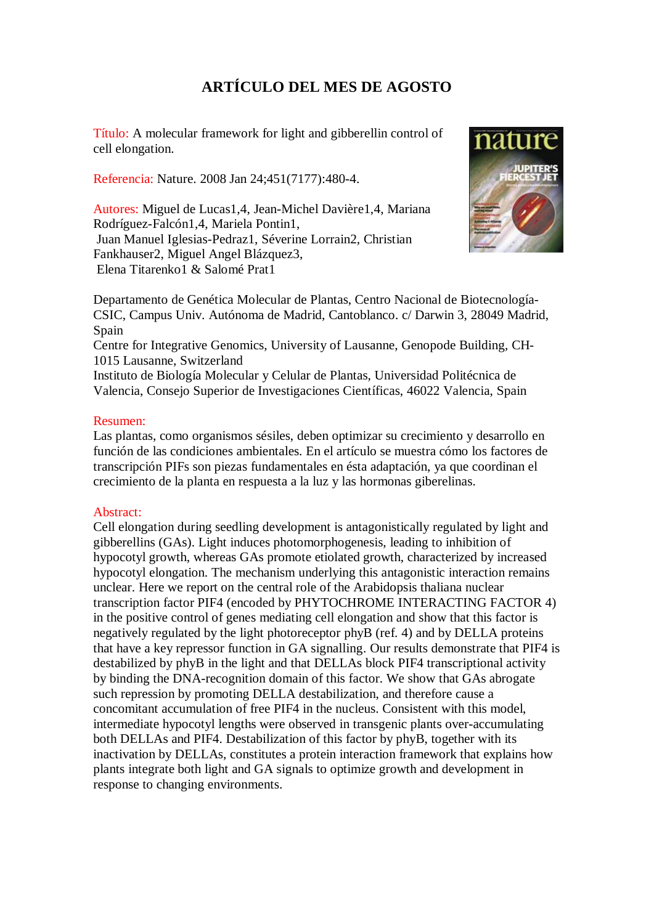## **ARTÍCULO DEL MES DE AGOSTO**

Título: A molecular framework for light and gibberellin control of cell elongation.

Referencia: Nature. 2008 Jan 24;451(7177):480-4.

Autores: Miguel de Lucas1,4, Jean-Michel Davière1,4, Mariana Rodríguez-Falcón1,4, Mariela Pontin1, Juan Manuel Iglesias-Pedraz1, Séverine Lorrain2, Christian Fankhauser2, Miguel Angel Blázquez3, Elena Titarenko1 & Salomé Prat1



Departamento de Genética Molecular de Plantas, Centro Nacional de Biotecnología-CSIC, Campus Univ. Autónoma de Madrid, Cantoblanco. c/ Darwin 3, 28049 Madrid, Spain

Centre for Integrative Genomics, University of Lausanne, Genopode Building, CH-1015 Lausanne, Switzerland

Instituto de Biología Molecular y Celular de Plantas, Universidad Politécnica de Valencia, Consejo Superior de Investigaciones Científicas, 46022 Valencia, Spain

## Resumen:

Las plantas, como organismos sésiles, deben optimizar su crecimiento y desarrollo en función de las condiciones ambientales. En el artículo se muestra cómo los factores de transcripción PIFs son piezas fundamentales en ésta adaptación, ya que coordinan el crecimiento de la planta en respuesta a la luz y las hormonas giberelinas.

## Abstract:

Cell elongation during seedling development is antagonistically regulated by light and gibberellins (GAs). Light induces photomorphogenesis, leading to inhibition of hypocotyl growth, whereas GAs promote etiolated growth, characterized by increased hypocotyl elongation. The mechanism underlying this antagonistic interaction remains unclear. Here we report on the central role of the Arabidopsis thaliana nuclear transcription factor PIF4 (encoded by PHYTOCHROME INTERACTING FACTOR 4) in the positive control of genes mediating cell elongation and show that this factor is negatively regulated by the light photoreceptor phyB (ref. 4) and by DELLA proteins that have a key repressor function in GA signalling. Our results demonstrate that PIF4 is destabilized by phyB in the light and that DELLAs block PIF4 transcriptional activity by binding the DNA-recognition domain of this factor. We show that GAs abrogate such repression by promoting DELLA destabilization, and therefore cause a concomitant accumulation of free PIF4 in the nucleus. Consistent with this model, intermediate hypocotyl lengths were observed in transgenic plants over-accumulating both DELLAs and PIF4. Destabilization of this factor by phyB, together with its inactivation by DELLAs, constitutes a protein interaction framework that explains how plants integrate both light and GA signals to optimize growth and development in response to changing environments.